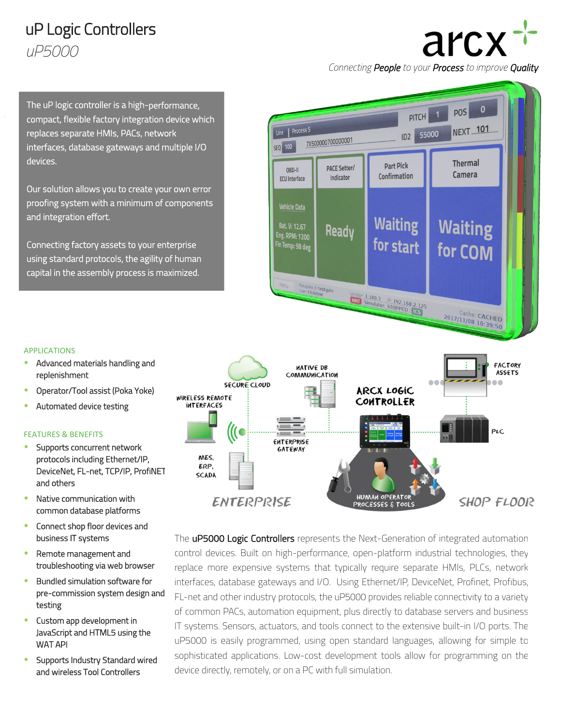## uP Logic Controllers *uP5000*

# arcx

 $\mathbf{0}$ 

**POS** 

**NEXT\_101** 

Thermal

Camera

**Waiting** 

for COM

*Connecting People to your Process to improve Quality*

PITCH 1

ID2 55000

**Part Pick** 

Confirmation

**Waiting** 

for start

Version: 1.100.3 P: 192.168.2.125

The uP logic controller is a high-performance, compact, flexible factory integration device which replaces separate HMIs, PACs, network interfaces, database gateways and multiple I/O devices.

Our solution allows you to create your own error proofing system with a minimum of components and integration effort.

Connecting factory assets to your enterprise using standard protocols, the agility of human capital in the assembly process is maximized.

#### APPLICATIONS

֒

- Advanced materials handling and replenishment
- Operator/Tool assist (Poka Yoke)
- Automated device testing

#### FEATURES & BENEFITS

- **Supports concurrent network** protocols including Ethernet/IP, DeviceNet, FL-net, TCP/IP, ProfiNET and others
- Native communication with common database platforms
- **•** Connect shop floor devices and business IT systems
- Remote management and troubleshooting via web browser
- Bundled simulation software for pre-commission system design and testing
- **•** Custom app development in JavaScript and HTML5 using the WAT API
- **Supports Industry Standard wired** and wireless Tool Controllers



Line | Process 5

 $ORD-II$ 

**ECU** Interface

**Vehicle Data** 

Bat. V: 12.67

Eng. RPM: 1200

Fin Temp: 98 deg

Pokayoke Id: testgate<br>User: Christine

SEQ 100

7X500000700000001

**PACE Setter/** 

Indicator

Ready

The **uP5000 Logic Controllers** represents the Next-Generation of integrated automation control devices. Built on high-performance, open-platform industrial technologies, they replace more expensive systems that typically require separate HMIs, PLCs, network interfaces, database gateways and I/O. Using Ethernet/IP, DeviceNet, Profinet, Profibus, FL-net and other industry protocols, the uP5000 provides reliable connectivity to a variety of common PACs, automation equipment, plus directly to database servers and business IT systems. Sensors, actuators, and tools connect to the extensive built-in I/O ports. The uP5000 is easily programmed, using open standard languages, allowing for simple to sophisticated applications. Low-cost development tools allow for programming on the device directly, remotely, or on a PC with full simulation.